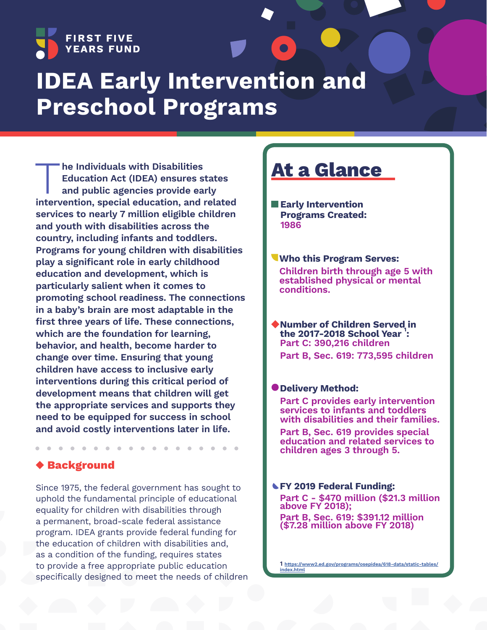

# **IDEA Early Intervention and Preschool Programs**

The Individuals with Disabilities<br>
Education Act (IDEA) ensures states<br>
and public agencies provide early<br>
intervention, special education, and related **Education Act (IDEA) ensures states and public agencies provide early services to nearly 7 million eligible children and youth with disabilities across the country, including infants and toddlers. Programs for young children with disabilities play a significant role in early childhood education and development, which is particularly salient when it comes to promoting school readiness. The connections in a baby's brain are most adaptable in the first three years of life. These connections, which are the foundation for learning, behavior, and health, become harder to change over time. Ensuring that young children have access to inclusive early interventions during this critical period of development means that children will get the appropriate services and supports they need to be equipped for success in school and avoid costly interventions later in life.**

### **Background**

Since 1975, the federal government has sought to uphold the fundamental principle of educational equality for children with disabilities through a permanent, broad-scale federal assistance program. IDEA grants provide federal funding for the education of children with disabilities and, as a condition of the funding, requires states to provide a free appropriate public education specifically designed to meet the needs of children

# **At a Glance**

**Early Intervention Programs Created: 1986**

**Who this Program Serves: Children birth through age 5 with established physical or mental conditions.**

**Number of Children Served in the 2017-2018 School Year 1 : Part C: 390,216 children Part B, Sec. 619: 773,595 children**

#### **Delivery Method:**

**Part C provides early intervention services to infants and toddlers with disabilities and their families.**

**Part B, Sec. 619 provides special education and related services to children ages 3 through 5.**

#### **FY 2019 Federal Funding:**

**Part C - \$470 million (\$21.3 million above FY 2018);** 

**Part B, Sec. 619: \$391.12 million (\$7.28 million above FY 2018)**

**1 [https://www2.ed.gov/programs/osepidea/618-data/static-tables/](https://www2.ed.gov/programs/osepidea/618-data/static-tables/index.html) [index.html](https://www2.ed.gov/programs/osepidea/618-data/static-tables/index.html)**